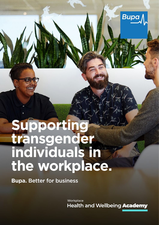# **Supporting transgender individuals in the workplace.**

**Bupa.** Better for business

Workplace **Health and Wellbeing Academy** 

**Bupa**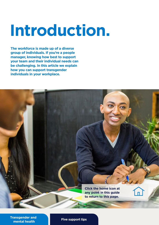# **Introduction.**

**The workforce is made up of a diverse group of individuals. If you're a people manager, knowing how best to support your team and their individual needs can be challenging. In this article we explain how you can support transgender individuals in your workplace.** 



**[Transgender and](#page-2-0)  mental health Five support tips**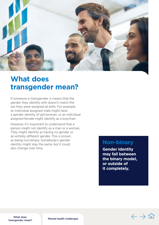<span id="page-2-0"></span>

## **What does transgender mean?**

If someone is transgender, it means that the gender they identify with doesn't match the sex they were assigned at birth. For example, an individual assigned male might have a gender identity of girl/woman, or an individual assigned female might identify as a boy/man.

However, it's important to understand that a person might not identify as a man or a woman. They might identify as having no gender or an entirely diferent gender. This is known as being non-binary. Somebody's gender identity might stay the same, but it could also change over time.

## **Non-binary**

**Gender identity may fall between the binary model, or outside of it completely.** 

What does what does<br>transgender mean? Mental health challenges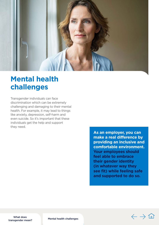<span id="page-3-0"></span>

## **Mental health challenges**

Transgender individuals can face discrimination which can be extremely challenging and damaging to their mental health. For example, it may lead to things like anxiety, depression, self-harm and even suicide. So it's important that these individuals get the help and support they need.

> **As an employer, you can make a real difference by providing an inclusive and comfortable environment. Your employees should feel able to embrace their gender identity (in whatever way they see fit) while feeling safe and supported to do so.**

> > $\leftarrow$  -

What does what does<br>[transgender mean?](#page-2-0) Mental health challenges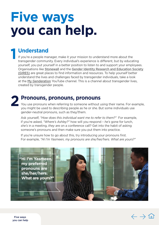# <span id="page-4-0"></span>**Five ways you can help.**

# **1 Understand**<br> **16 you're a people mar**<br> **transcander communi**

If you're a people manager, make it your mission to understand more about the transgender community. Every individual's experience is diferent, but by educating yourself, you put yourself in a better position to listen to and support your employees. Organisations like [Stonewall](https://www.stonewall.org.uk/) and the [Gender Identity Research and Education Society](https://www.gires.org.uk/)  [\(GIRES\)](https://www.gires.org.uk/) are great places to fnd information and resources. To help yourself better understand the lives and challenges faced by transgender individuals, take a look at the [My Genderation](https://www.youtube.com/mygenderation) YouTube channel. This is a channel about transgender lives, created by transgender people.

**2 Pronouns, pronouns, pronouns**<br>You use pronouns when referring to someone without using their name. For example, you might be used to describing people as he or she. But some individuals use gender-neutral pronouns, such as they/them.

Ask yourself, *"How does this individual want me to refer to them?"* For example, if you're asked, *"Where's Ashley?"* how will you respond – *he's* gone for lunch, *she's* in a meeting, *they* are on a conference call? Get into the habit of asking someone's pronouns and then make sure you put them into practice.

If you're unsure how to go about this, try introducing your pronouns first. For example, *"Hi I'm Yasmeen, my pronouns are she/her/hers. What are yours?"* 





Five ways you can help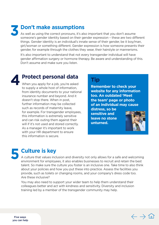## **3 Don't make assumptions**

As well as using the correct pronouns, it's also important that you don't assume someone's gender identity based on their gender expression – these are two diferent things. Gender identity is an individual's innate sense of their gender, be it boy/man, girl/woman or something diferent. Gender expression is how someone presents their gender, for example through the clothes they wear, their hairstyle or mannerisms.

It's also important to understand that not every transgender individual will have gender affirmation surgery or hormone therapy. Be aware and understanding of this. Don't assume and make sure you listen.



**4Protect personal data Tip**<br>When you apply for a job, you're asked **Tip Remember to check your** to supply a whole host of information,<br>**Exercisive for any information** from identity documents to your national **website for any information insurance number and beyond. And it** insurance number and beyond. And it doesn't stop there. When in post, **the team' page or photo**  further information may be collected **of an individual may cause**  such as records of maternity leave,<br>
for example. For transgender employees,<br>
this information is extremely sensitive<br>
and can risk outing them against their<br> **leave no stone**<br> **leave no stone**<br> **unturned.** will if it's not used and stored correctly. As a manager it's important to work with your HR department to ensure this information is secure.



## **5 Culture is key**

A culture that values inclusion and diversity not only allows for a safe and welcoming environment for employees, it also enables businesses to recruit and retain the best talent. So make sure the culture you foster is an inclusive one. Take time to also think about your policies and how you put these into practice. Assess the facilities you provide, such as toilets or changing rooms, and your company's dress code too. Are these inclusive?

 training led by a member of the transgender community may help. You may also need to support your wider team to help them understand their colleagues better and act with kindness and sensitivity. Diversity and inclusion

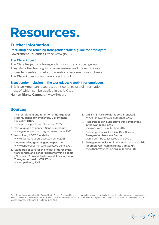## **Resources.**

## **Further information**

Recruitingand retaining transgender staff: a guide for employers<br>Government Equalities Office www.gov.uk

### [The Clare Project](https://clareproject.org.uk/)

The Clare Project is a transgender support and social group. They also offer training to raise awareness and understanding of gender identity to help organisations become more inclusive. The Clare Project [www.c](https://clareproject.org.uk/)lareproject.org.uk

### Transgender inclusion in the workplace: A toolkit for employers

This is an American resource, but it contains useful information, most of which can be applied in the UK too. Human Rights Campaign [www.hrc.org](https://www.hrc.org/) 

## **Sources**

- 1. The recruitment and retention of transgender 6. LGBT in Britain: Health report. Stonewall. staff: guidance for employers. Government [www.stonewall.org.uk,](https://www.stonewall.org.uk/) published 2018. Equalities Office. The state of the search paper: Supporting trans employees
- 2. The language of gender. Gender spectrum. [www.acas.org.uk](https://www.acas.org.uk/), published 2017. [www.genderspectrum.org](https://www.genderspectrum.org/), accessed June 2021. **8. Gender pronouns. Lesbian. Gay. Bisexual.**
- 3. Non-binary. LGBT foundation. Transgender Resource Centre. [www.lgbt.foundation,](https://lgbt.foundation/?__cf_chl_jschl_tk__=a2a02c4b63fcbf9d4c72cffe61d38b2b7f7dfc49-1623252958-0-AQvjl8MmCrupd7i8YzloyuQcL6InkQZej6fyUM_MGRY0oeNQYyl-vewRYJXjAruhB9Xa4w2-zmD1_5R6NZ8jWxi5zBaGYqWjaNCFy0v0F0x-BS-FZSioKIwR8t_E4U_Upu6NdtJZMdXRtJ6mJY1BgnS48JKAf924ZpXSS8FMmf1yUmyKGOBgCrvUUNncoVvciPVyI5KHNBkuxJRg8mu5qLPzHYeFkwA0qAgBTd7xldNAfVTYB4VZyWtoRSWRrJsfJcwbdqyVhFQlxEUACIK5d-cBvA6EPtRxvbS3cVH3G1d7lAvgcsxlG4OaEFMkEsgQH_Y7-QpyEk_ByWvqzt3J_0uXpE2Rzd5bfTcnoOJpFEChJbNZharc3TabNCrTw-T-_OmT7CzBplKrsmbwl3uIUes) accessed June 2021. [uwm.edu/lgbtrc,](https://uwm.edu/lgbtrc/) accessed June 2021.
- [www.genderspectrum.org](https://www.genderspectrum.org/), accessed June 2021. **for employers. Human Rights Campaign.**
- 5. Standards of care for the health of transsexual, [www.](https://www.thehrcfoundation.org/)thehrcfoundation.org, published 2016. transgender, and gender nonconforming people (7th version). World Professional Association for Transgender Health (WPATH). [www.wpath.org,](https://www.wpath.org/) 2012.
- 
- [www.gov.uk](https://www.gov.uk/), published November 2015. **in the workplace. acas.** 
	-
- 4. Understanding gender. genderspectrum. 9. Transgender inclusion in the workplace: a toolkit

This information was published by Bupa's Health Content Team and is based on reputable sources of medical evidence. It has been reviewed by appropriate medical or clinical professionals. The information is not intended nor implied to be a substitute for professional medical advice nor is it intended to be for medical diagnosis or treatment. Published June 2021.